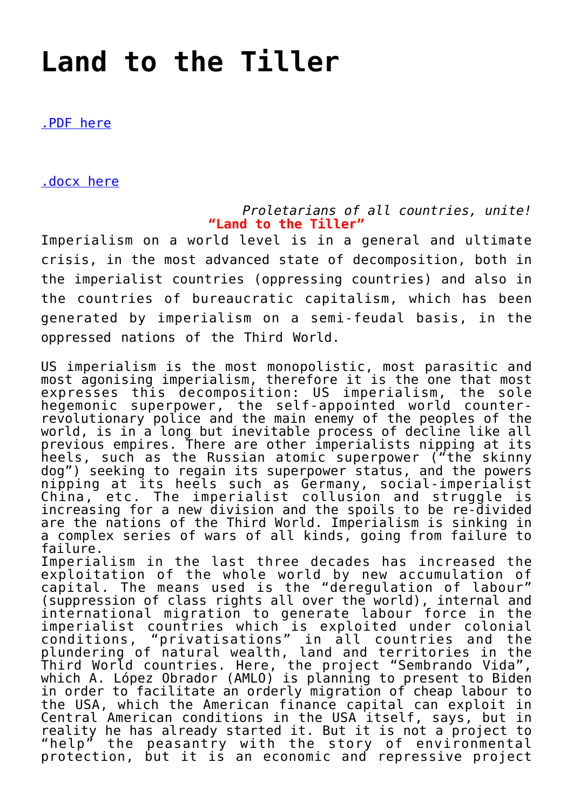## **[Land to the Tiller](https://ci-ic.org/blog/2021/04/22/land-to-the-tiller/)**

[.PDF here](https://ci-ic.org/wp-content/uploads/2021/04/land_to_the_tiller.pdf)

[.docx here](https://ci-ic.org/wp-content/uploads/2021/04/land_to_the_tiller.docx)

*Proletarians of all countries, unite!* **"Land to the Tiller"**

Imperialism on a world level is in a general and ultimate crisis, in the most advanced state of decomposition, both in the imperialist countries (oppressing countries) and also in the countries of bureaucratic capitalism, which has been generated by imperialism on a semi-feudal basis, in the oppressed nations of the Third World.

US imperialism is the most monopolistic, most parasitic and most agonising imperialism, therefore it is the one that most expresses this decomposition: US imperialism, the sole hegemonic superpower, the self-appointed world counterrevolutionary police and the main enemy of the peoples of the world, is in a long but inevitable process of decline like all previous empires. There are other imperialists nipping at its heels, such as the Russian atomic superpower ("the skinny dog") seeking to regain its superpower status, and the powers nipping at its heels such as Germany, social-imperialist China, etc. The imperialist collusion and struggle is increasing for a new division and the spoils to be re-divided are the nations of the Third World. Imperialism is sinking in a complex series of wars of all kinds, going from failure to failure.

Imperialism in the last three decades has increased the exploitation of the whole world by new accumulation of capital. The means used is the "deregulation of labour" (suppression of class rights all over the world), internal and international migration to generate labour force in the imperialist countries which is exploited under colonial conditions, "privatisations" in all countries and the plundering of natural wealth, land and territories in the Third World countries. Here, the project "Sembrando Vida", which A. López Obrador (AMLO) is planning to present to Biden in order to facilitate an orderly migration of cheap labour to the USA, which the American finance capital can exploit in Central American conditions in the USA itself, says, but in reality he has already started it. But it is not a project to "help" the peasantry with the story of environmental protection, but it is an economic and repressive project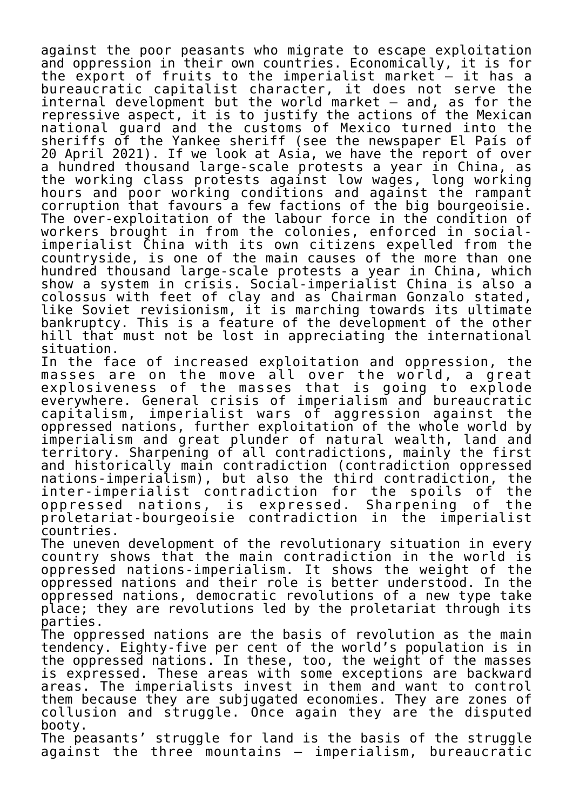against the poor peasants who migrate to escape exploitation and oppression in their own countries. Economically, it is for the export of fruits to the imperialist market – it has a bureaucratic capitalist character, it does not serve the internal development but the world market – and, as for the repressive aspect, it is to justify the actions of the Mexican national guard and the customs of Mexico turned into the sheriffs of the Yankee sheriff (see the newspaper El País of 20 April 2021). If we look at Asia, we have the report of over a hundred thousand large-scale protests a year in China, as the working class protests against low wages, long working hours and poor working conditions and against the rampant corruption that favours a few factions of the big bourgeoisie. The over-exploitation of the labour force in the condition of workers brought in from the colonies, enforced in socialimperialist China with its own citizens expelled from the countryside, is one of the main causes of the more than one hundred thousand large-scale protests a year in China, which show a system in crisis. Social-imperialist China is also a colossus with feet of clay and as Chairman Gonzalo stated, like Soviet revisionism, it is marching towards its ultimate bankruptcy. This is a feature of the development of the other hill that must not be lost in appreciating the international situation.

In the face of increased exploitation and oppression, the masses are on the move all over the world, a great explosiveness of the masses that is going to explode everywhere. General crisis of imperialism and bureaucratic capitalism, imperialist wars of aggression against the oppressed nations, further exploitation of the whole world by imperialism and great plunder of natural wealth, land and territory. Sharpening of all contradictions, mainly the first and historically main contradiction (contradiction oppressed nations-imperialism), but also the third contradiction, the inter-imperialist contradiction for the spoils of the oppressed nations, is expressed. proletariat-bourgeoisie contradiction in the imperialist countries.

The uneven development of the revolutionary situation in every country shows that the main contradiction in the world is oppressed nations-imperialism. It shows the weight of the oppressed nations and their role is better understood. In the oppressed nations, democratic revolutions of a new type take place; they are revolutions led by the proletariat through its parties.

The oppressed nations are the basis of revolution as the main tendency. Eighty-five per cent of the world's population is in the oppressed nations. In these, too, the weight of the masses is expressed. These areas with some exceptions are backward areas. The imperialists invest in them and want to control them because they are subjugated economies. They are zones of collusion and struggle. Once again they are the disputed booty.

The peasants' struggle for land is the basis of the struggle against the three mountains – imperialism, bureaucratic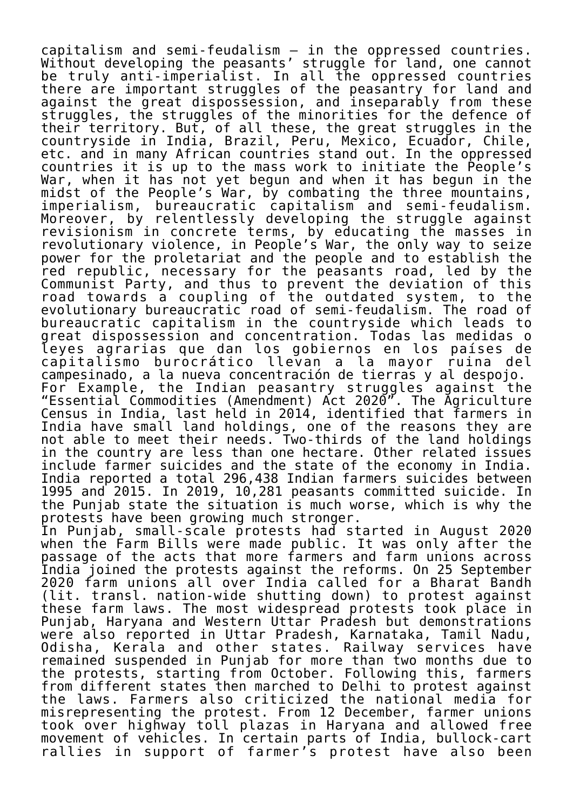capitalism and semi-feudalism – in the oppressed countries. Without developing the peasants' struggle for land, one cannot be truly anti-imperialist. In all the oppressed countries there are important struggles of the peasantry for land and against the great dispossession, and inseparably from these struggles, the struggles of the minorities for the defence of their territory. But, of all these, the great struggles in the countryside in India, Brazil, Peru, Mexico, Ecuador, Chile, etc. and in many African countries stand out. In the oppressed countries it is up to the mass work to initiate the People's War, when it has not yet begun and when it has begun in the midst of the People's War, by combating the three mountains, imperialism, bureaucratic capitalism and semi-feudalism. Moreover, by relentlessly developing the struggle against revisionism in concrete terms, by educating the masses in revolutionary violence, in People's War, the only way to seize power for the proletariat and the people and to establish the red republic, necessary for the peasants road, led by the Communist Party, and thus to prevent the deviation of this road towards a coupling of the outdated system, to the evolutionary bureaucratic road of semi-feudalism. The road of bureaucratic capitalism in the countryside which leads to great dispossession and concentration. Todas las medidas o leyes agrarias que dan los gobiernos en los países de capitalismo burocrático llevan a la mayor ruina del campesinado, a la nueva concentración de tierras y al despojo. For Example, the Indian peasantry struggles against the "Essential Commodities (Amendment) Act 2020". The Agriculture Census in India, last held in 2014, identified that farmers in India have small land holdings, one of the reasons they are not able to meet their needs. Two-thirds of the land holdings in the country are less than one hectare. Other related issues include farmer suicides and the state of the economy in India. India reported a total 296,438 Indian farmers suicides between 1995 and 2015. In 2019, 10,281 peasants committed suicide. In the Punjab state the situation is much worse, which is why the protests have been growing much stronger. In Punjab, small-scale protests had started in August 2020 when the Farm Bills were made public. It was only after the passage of the acts that more farmers and farm unions across India joined the protests against the reforms. On 25 September 2020 farm unions all over India called for a Bharat Bandh (lit. transl. nation-wide shutting down) to protest against these farm laws. The most widespread protests took place in Punjab, Haryana and Western Uttar Pradesh but demonstrations were also reported in Uttar Pradesh, Karnataka, Tamil Nadu, Odisha, Kerala and other states. Railway services have remained suspended in Punjab for more than two months due to the protests, starting from October. Following this, farmers from different states then marched to Delhi to protest against the laws. Farmers also criticized the national media for misrepresenting the protest. From 12 December, farmer unions took over highway toll plazas in Haryana and allowed free movement of vehicles. In certain parts of India, bullock-cart rallies in support of farmer's protest have also been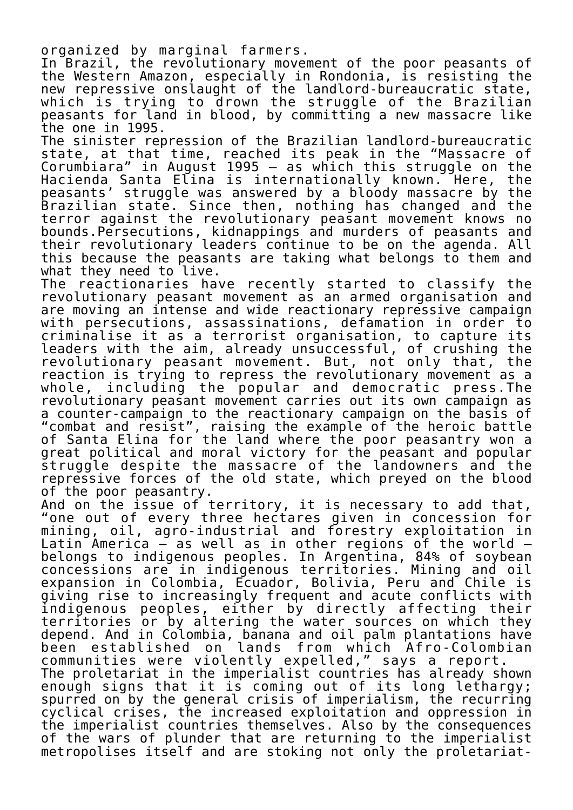organized by marginal farmers.

In Brazil, the revolutionary movement of the poor peasants of the Western Amazon, especially in Rondonia, is resisting the new repressive onslaught of the landlord-bureaucratic state, which is trying to drown the struggle of the Brazilian peasants for land in blood, by committing a new massacre like the one in 1995.

The sinister repression of the Brazilian landlord-bureaucratic state, at that time, reached its peak in the "Massacre of Corumbiara" in August 1995 – as which this struggle on the Hacienda Santa Elina is internationally known. Here, the peasants' struggle was answered by a bloody massacre by the Brazilian state. Since then, nothing has changed and the terror against the revolutionary peasant movement knows no bounds.Persecutions, kidnappings and murders of peasants and their revolutionary leaders continue to be on the agenda. All this because the peasants are taking what belongs to them and what they need to live.

The reactionaries have recently started to classify the revolutionary peasant movement as an armed organisation and are moving an intense and wide reactionary repressive campaign with persecutions, assassinations, defamation in order to criminalise it as a terrorist organisation, to capture its leaders with the aim, already unsuccessful, of crushing the revolutionary peasant movement. But, not only that, the reaction is trying to repress the revolutionary movement as a whole, including the popular and democratic press.The revolutionary peasant movement carries out its own campaign as a counter-campaign to the reactionary campaign on the basis of "combat and resist", raising the example of the heroic battle of Santa Elina for the land where the poor peasantry won a great political and moral victory for the peasant and popular struggle despite the massacre of the landowners and the repressive forces of the old state, which preyed on the blood of the poor peasantry.

And on the issue of territory, it is necessary to add that, "one out of every three hectares given in concession for mining, oil, agro-industrial and forestry exploitation in Latin America  $-$  as well as in other regions of the world  $$ belongs to indigenous peoples. In Argentina, 84% of soybean concessions are in indigenous territories. Mining and oil expansion in Colombia, Ecuador, Bolivia, Peru and Chile is giving rise to increasingly frequent and acute conflicts with indigenous peoples, either by directly affecting their territories or by altering the water sources on which they depend. And in Colombia, banana and oil palm plantations have been established on lands from which Afro-Colombian communities were violently expelled," says a report. The proletariat in the imperialist countries has already shown enough signs that it is coming out of its long lethargy; spurred on by the general crisis of imperialism, the recurring cyclical crises, the increased exploitation and oppression in the imperialist countries themselves. Also by the consequences of the wars of plunder that are returning to the imperialist metropolises itself and are stoking not only the proletariat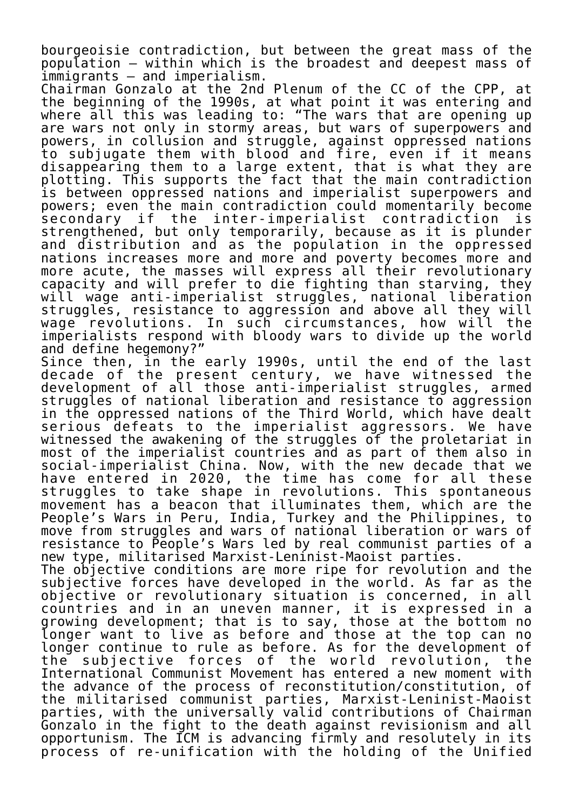bourgeoisie contradiction, but between the great mass of the population – within which is the broadest and deepest mass of immigrants – and imperialism.

Chairman Gonzalo at the 2nd Plenum of the CC of the CPP, at the beginning of the 1990s, at what point it was entering and where all this was leading to: "The wars that are opening up are wars not only in stormy areas, but wars of superpowers and powers, in collusion and struggle, against oppressed nations to subjugate them with blood and fire, even if it means disappearing them to a large extent, that is what they are plotting. This supports the fact that the main contradiction is between oppressed nations and imperialist superpowers and powers; even the main contradiction could momentarily become secondary if the inter-imperialist contradiction is strengthened, but only temporarily, because as it is plunder and distribution and as the population in the oppressed nations increases more and more and poverty becomes more and more acute, the masses will express all their revolutionary capacity and will prefer to die fighting than starving, they will wage anti-imperialist struggles, national liberation struggles, resistance to aggression and above all they will wage revolutions. In such circumstances, how will the imperialists respond with bloody wars to divide up the world and define hegemony?"

Since then, in the early 1990s, until the end of the last decade of the present century, we have witnessed the development of all those anti-imperialist struggles, armed struggles of national liberation and resistance to aggression in the oppressed nations of the Third World, which have dealt serious defeats to the imperialist aggressors. We have witnessed the awakening of the struggles of the proletariat in most of the imperialist countries and as part of them also in social-imperialist China. Now, with the new decade that we have entered in 2020, the time has come for all these struggles to take shape in revolutions. This spontaneous movement has a beacon that illuminates them, which are the People's Wars in Peru, India, Turkey and the Philippines, to move from struggles and wars of national liberation or wars of resistance to People's Wars led by real communist parties of a new type, militarised Marxist-Leninist-Maoist parties. The objective conditions are more ripe for revolution and the

subjective forces have developed in the world. As far as the objective or revolutionary situation is concerned, in all countries and in an uneven manner, it is expressed in a growing development; that is to say, those at the bottom no longer want to live as before and those at the top can no longer continue to rule as before. As for the development of the subjective forces of the world revolution, the International Communist Movement has entered a new moment with the advance of the process of reconstitution/constitution, of the militarised communist parties, Marxist-Leninist-Maoist parties, with the universally valid contributions of Chairman Gonzalo in the fight to the death against revisionism and all opportunism. The ICM is advancing firmly and resolutely in its process of re-unification with the holding of the Unified